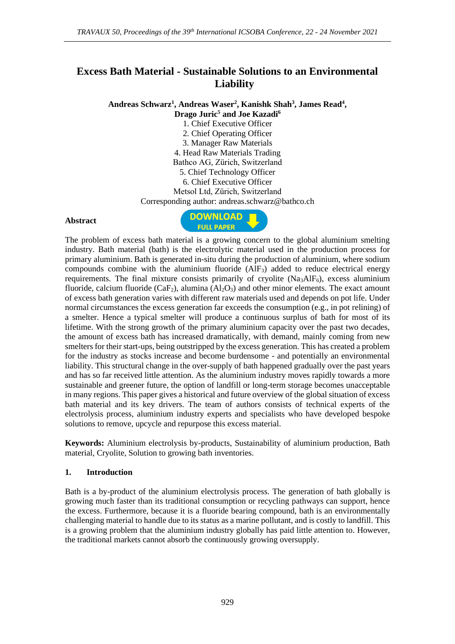# **Excess Bath Material - Sustainable Solutions to an Environmental Liability**

**Andreas Schwarz<sup>1</sup> , Andreas Waser<sup>2</sup> , Kanishk Shah<sup>3</sup> , James Read<sup>4</sup> ,** 

**Drago Juric<sup>5</sup> and Joe Kazadi<sup>6</sup>**

1. Chief Executive Officer

2. Chief Operating Officer

3. Manager Raw Materials 4. Head Raw Materials Trading

Bathco AG, Zürich, Switzerland

5. Chief Technology Officer

6. Chief Executive Officer

Metsol Ltd, Zürich, Switzerland

Corresponding author: andreas.schwarz@bathco.ch

#### **Abstract**



The problem of excess bath material is a growing concern to the global aluminium smelting industry. Bath material (bath) is the electrolytic material used in the production process for primary aluminium. Bath is generated in-situ during the production of aluminium, where sodium compounds combine with the aluminium fluoride  $(AIF_3)$  added to reduce electrical energy requirements. The final mixture consists primarily of cryolite  $(Na<sub>3</sub>AIF<sub>6</sub>)$ , excess aluminium fluoride, calcium fluoride ( $CaF_2$ ), alumina  $(Al_2O_3)$  and other minor elements. The exact amount of excess bath generation varies with different raw materials used and depends on pot life. Under normal circumstances the excess generation far exceeds the consumption (e.g., in pot relining) of a smelter. Hence a typical smelter will produce a continuous surplus of bath for most of its lifetime. With the strong growth of the primary aluminium capacity over the past two decades, the amount of excess bath has increased dramatically, with demand, mainly coming from new smelters for their start-ups, being outstripped by the excess generation. This has created a problem for the industry as stocks increase and become burdensome - and potentially an environmental liability. This structural change in the over-supply of bath happened gradually over the past years and has so far received little attention. As the aluminium industry moves rapidly towards a more sustainable and greener future, the option of landfill or long-term storage becomes unacceptable in many regions. This paper gives a historical and future overview of the global situation of excess bath material and its key drivers. The team of authors consists of technical experts of the electrolysis process, aluminium industry experts and specialists who have developed bespoke solutions to remove, upcycle and repurpose this excess material.

**Keywords:** Aluminium electrolysis by-products, Sustainability of aluminium production, Bath material, Cryolite, Solution to growing bath inventories.

### **1. Introduction**

Bath is a by-product of the aluminium electrolysis process. The generation of bath globally is growing much faster than its traditional consumption or recycling pathways can support, hence the excess. Furthermore, because it is a fluoride bearing compound, bath is an environmentally challenging material to handle due to its status as a marine pollutant, and is costly to landfill. This is a growing problem that the aluminium industry globally has paid little attention to. However, the traditional markets cannot absorb the continuously growing oversupply.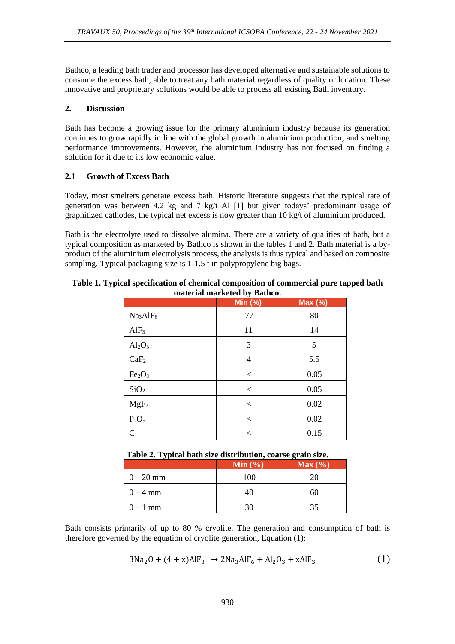Bathco, a leading bath trader and processor has developed alternative and sustainable solutions to consume the excess bath, able to treat any bath material regardless of quality or location. These innovative and proprietary solutions would be able to process all existing Bath inventory.

### **2. Discussion**

Bath has become a growing issue for the primary aluminium industry because its generation continues to grow rapidly in line with the global growth in aluminium production, and smelting performance improvements. However, the aluminium industry has not focused on finding a solution for it due to its low economic value.

# **2.1 Growth of Excess Bath**

Today, most smelters generate excess bath. Historic literature suggests that the typical rate of generation was between 4.2 kg and 7 kg/t Al [1] but given todays' predominant usage of graphitized cathodes, the typical net excess is now greater than 10 kg/t of aluminium produced.

Bath is the electrolyte used to dissolve alumina. There are a variety of qualities of bath, but a typical composition as marketed by Bathco is shown in the tables 1 and 2. Bath material is a byproduct of the aluminium electrolysis process, the analysis is thus typical and based on composite sampling. Typical packaging size is 1-1.5 t in polypropylene big bags.

#### **Table 1. Typical specification of chemical composition of commercial pure tapped bath material marketed by Bathco.**

| - ~ പ                            |                     |         |
|----------------------------------|---------------------|---------|
|                                  | Min $(\frac{1}{6})$ | Max (%) |
| Na <sub>3</sub> AlF <sub>6</sub> | 77                  | 80      |
| AlF <sub>3</sub>                 | 11                  | 14      |
| $Al_2O_3$                        | 3                   | 5       |
| CaF <sub>2</sub>                 | 4                   | 5.5     |
| Fe <sub>2</sub> O <sub>3</sub>   | $\,<\,$             | 0.05    |
| SiO <sub>2</sub>                 | $\,<\,$             | 0.05    |
| $MgF_2$                          | $\,<\,$             | 0.02    |
| $P_2O_5$                         | $\,<\,$             | 0.02    |
| $\mathcal{C}$                    | $\,<\,$             | 0.15    |

# **Table 2. Typical bath size distribution, coarse grain size.**

|             | Min $(\% )$ | Max(%) |
|-------------|-------------|--------|
| $0 - 20$ mm | 100         | 20     |
| $0 - 4$ mm  | 40          | 60     |
| $0-1$ mm    | 30          | 35     |

Bath consists primarily of up to 80 % cryolite. The generation and consumption of bath is therefore governed by the equation of cryolite generation, Equation (1):

$$
3Na_2O + (4 + x)AlF_3 \rightarrow 2Na_3AlF_6 + Al_2O_3 + xAlF_3 \tag{1}
$$